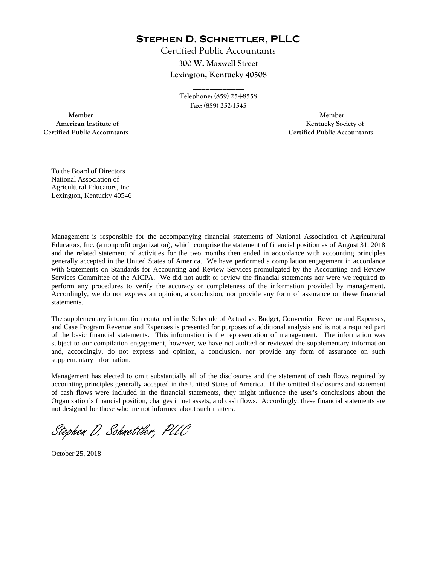**Stephen D. Schnettler, PLLC**

Certified Public Accountants **300 W. Maxwell Street Lexington, Kentucky 40508** 

> **Telephone: (859) 254-8558 Fax: (859) 252-1545**

**\_\_\_\_\_\_\_\_\_\_\_\_** 

 **Member Member Certified Public Accountants Certified Public Accountants** 

American Institute of **Kentucky Society of American Institute of** 

To the Board of Directors National Association of Agricultural Educators, Inc. Lexington, Kentucky 40546

Management is responsible for the accompanying financial statements of National Association of Agricultural Educators, Inc. (a nonprofit organization), which comprise the statement of financial position as of August 31, 2018 and the related statement of activities for the two months then ended in accordance with accounting principles generally accepted in the United States of America. We have performed a compilation engagement in accordance with Statements on Standards for Accounting and Review Services promulgated by the Accounting and Review Services Committee of the AICPA. We did not audit or review the financial statements nor were we required to perform any procedures to verify the accuracy or completeness of the information provided by management. Accordingly, we do not express an opinion, a conclusion, nor provide any form of assurance on these financial statements.

The supplementary information contained in the Schedule of Actual vs. Budget, Convention Revenue and Expenses, and Case Program Revenue and Expenses is presented for purposes of additional analysis and is not a required part of the basic financial statements. This information is the representation of management. The information was subject to our compilation engagement, however, we have not audited or reviewed the supplementary information and, accordingly, do not express and opinion, a conclusion, nor provide any form of assurance on such supplementary information.

Management has elected to omit substantially all of the disclosures and the statement of cash flows required by accounting principles generally accepted in the United States of America. If the omitted disclosures and statement of cash flows were included in the financial statements, they might influence the user's conclusions about the Organization's financial position, changes in net assets, and cash flows. Accordingly, these financial statements are not designed for those who are not informed about such matters.

Stephen D. Schnettler, PLLC

October 25, 2018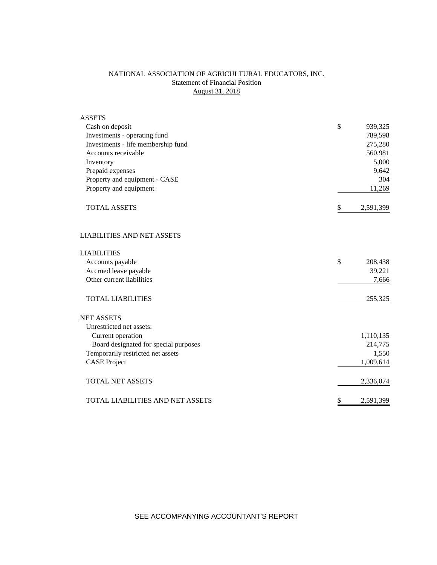# NATIONAL ASSOCIATION OF AGRICULTURAL EDUCATORS, INC. **Statement of Financial Position** August 31, 2018

| <b>ASSETS</b>                         |                 |
|---------------------------------------|-----------------|
| Cash on deposit                       | \$<br>939,325   |
| Investments - operating fund          | 789,598         |
| Investments - life membership fund    | 275,280         |
| Accounts receivable                   | 560,981         |
| Inventory                             | 5,000           |
| Prepaid expenses                      | 9,642           |
| Property and equipment - CASE         | 304             |
| Property and equipment                | 11,269          |
| <b>TOTAL ASSETS</b>                   | \$<br>2,591,399 |
| <b>LIABILITIES AND NET ASSETS</b>     |                 |
| <b>LIABILITIES</b>                    |                 |
| Accounts payable                      | \$<br>208,438   |
| Accrued leave payable                 | 39,221          |
| Other current liabilities             | 7,666           |
| <b>TOTAL LIABILITIES</b>              | 255,325         |
| <b>NET ASSETS</b>                     |                 |
| Unrestricted net assets:              |                 |
| Current operation                     | 1,110,135       |
| Board designated for special purposes | 214,775         |
| Temporarily restricted net assets     | 1,550           |
| <b>CASE Project</b>                   | 1,009,614       |
| <b>TOTAL NET ASSETS</b>               | 2,336,074       |
| TOTAL LIABILITIES AND NET ASSETS      | \$<br>2,591,399 |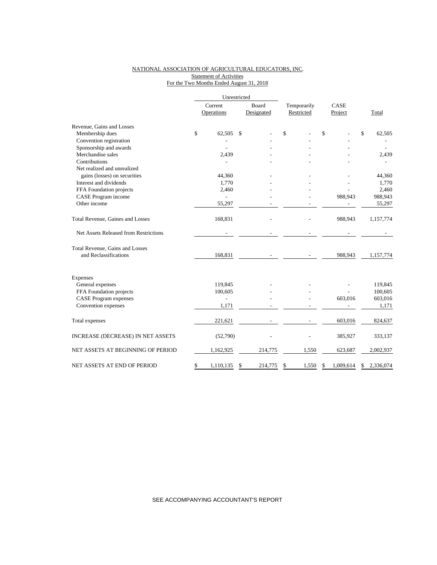## NATIONAL ASSOCIATION OF AGRICULTURAL EDUCATORS, INC. Statement of Activities For the Two Months Ended August 31, 2018

|                                       | Unrestricted    |    |            |             |       |    |           |    |           |
|---------------------------------------|-----------------|----|------------|-------------|-------|----|-----------|----|-----------|
|                                       | Current         |    | Board      | Temporarily |       |    | CASE      |    |           |
|                                       | Operations      |    | Designated | Restricted  |       |    | Project   |    | Total     |
| Revenue, Gains and Losses             |                 |    |            |             |       |    |           |    |           |
| Membership dues                       | \$<br>62.505    | \$ |            | \$          |       | \$ |           | \$ | 62,505    |
| Convention registration               |                 |    |            |             |       |    |           |    |           |
| Sponsorship and awards                |                 |    |            |             |       |    |           |    |           |
| Merchandise sales                     | 2,439           |    |            |             |       |    |           |    | 2,439     |
| Contributions                         |                 |    |            |             |       |    |           |    |           |
| Net realized and unrealized           |                 |    |            |             |       |    |           |    |           |
| gains (losses) on securities          | 44,360          |    |            |             |       |    |           |    | 44,360    |
| Interest and dividends                | 1,770           |    |            |             |       |    |           |    | 1,770     |
| FFA Foundation projects               | 2,460           |    |            |             |       |    |           |    | 2,460     |
| CASE Program income                   |                 |    |            |             |       |    | 988,943   |    | 988,943   |
| Other income                          | 55,297          |    |            |             |       |    |           |    | 55,297    |
| Total Revenue, Gaines and Losses      | 168,831         |    |            |             |       |    | 988,943   |    | 1,157,774 |
| Net Assets Released from Restrictions |                 |    |            |             |       |    |           |    |           |
| Total Revenue, Gains and Losses       |                 |    |            |             |       |    |           |    |           |
| and Reclassifications                 | 168,831         |    |            |             |       |    | 988,943   |    | 1,157,774 |
| Expenses                              |                 |    |            |             |       |    |           |    |           |
| General expenses                      | 119,845         |    |            |             |       |    |           |    | 119,845   |
| FFA Foundation projects               | 100,605         |    |            |             |       |    |           |    | 100,605   |
| <b>CASE Program expenses</b>          |                 |    |            |             |       |    | 603,016   |    | 603,016   |
| Convention expenses                   | 1,171           |    |            |             |       |    |           |    | 1,171     |
|                                       |                 |    |            |             |       |    |           |    |           |
| Total expenses                        | 221,621         |    |            |             |       |    | 603,016   |    | 824,637   |
| INCREASE (DECREASE) IN NET ASSETS     | (52,790)        |    |            |             |       |    | 385,927   |    | 333,137   |
| NET ASSETS AT BEGINNING OF PERIOD     | 1,162,925       |    | 214,775    |             | 1,550 |    | 623,687   |    | 2,002,937 |
| NET ASSETS AT END OF PERIOD           | \$<br>1,110,135 | S  | 214,775    | \$          | 1,550 | S  | 1,009,614 | S  | 2,336,074 |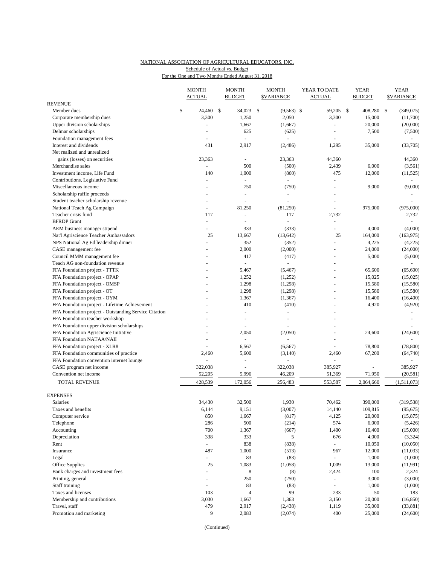## NATIONAL ASSOCIATION OF AGRICULTURAL EDUCATORS, INC. Schedule of Actual vs. Budget

For the One and Two Months Ended August 31, 2018

|                                                                               |    | <b>MONTH</b><br><b>ACTUAL</b> | <b>MONTH</b><br><b>BUDGET</b> |     | <b>MONTH</b><br><b><i>SVARIANCE</i></b> |  | YEAR TO DATE<br><b>ACTUAL</b> | <b>YEAR</b><br><b>BUDGET</b> | <b>YEAR</b><br><b>SVARIANCE</b> |                  |
|-------------------------------------------------------------------------------|----|-------------------------------|-------------------------------|-----|-----------------------------------------|--|-------------------------------|------------------------------|---------------------------------|------------------|
| <b>REVENUE</b>                                                                |    |                               |                               |     |                                         |  |                               |                              |                                 |                  |
| Member dues                                                                   | \$ | 24,460 \$                     | 34,023                        | -\$ | $(9,563)$ \$                            |  | 59,205                        | \$<br>408,280                | \$                              | (349,075)        |
| Corporate membership dues                                                     |    | 3,300                         | 1,250                         |     | 2,050                                   |  | 3,300                         | 15,000                       |                                 | (11,700)         |
| Upper division scholarships                                                   |    |                               | 1,667                         |     | (1,667)                                 |  | ÷,                            | 20,000                       |                                 | (20,000)         |
| Delmar scholarships                                                           |    | $\overline{a}$                | 625                           |     | (625)                                   |  | ÷,                            | 7,500                        |                                 | (7,500)          |
| Foundation management fees                                                    |    |                               |                               |     |                                         |  |                               |                              |                                 |                  |
| Interest and dividends                                                        |    | 431                           | 2,917                         |     | (2,486)                                 |  | 1,295                         | 35,000                       |                                 | (33,705)         |
| Net realized and unrealized                                                   |    |                               |                               |     |                                         |  |                               |                              |                                 |                  |
| gains (losses) on securities                                                  |    | 23,363                        | $\sim$                        |     | 23,363                                  |  | 44,360                        |                              |                                 | 44,360           |
| Merchandise sales                                                             |    | $\Box$                        | 500                           |     | (500)                                   |  | 2,439                         | 6,000                        |                                 | (3,561)          |
| Investment income, Life Fund                                                  |    | 140                           | 1,000                         |     | (860)                                   |  | 475                           | 12,000                       |                                 | (11, 525)        |
| Contributions, Legislative Fund                                               |    |                               |                               |     | $\bar{\phantom{a}}$                     |  | $\equiv$                      |                              |                                 |                  |
| Miscellaneous income                                                          |    | $\overline{a}$                | 750                           |     | (750)                                   |  | ÷,                            | 9,000                        |                                 | (9,000)          |
| Scholarship raffle proceeds                                                   |    |                               |                               |     |                                         |  |                               |                              |                                 |                  |
| Student teacher scholarship revenue                                           |    | $\overline{a}$                | $\sim$                        |     | $\sim$                                  |  | $\overline{a}$                |                              |                                 |                  |
| National Teach Ag Campaign                                                    |    |                               | 81,250                        |     | (81,250)                                |  | ÷,                            | 975,000                      |                                 | (975,000)        |
| Teacher crisis fund                                                           |    | 117                           | $\sim$                        |     | 117                                     |  | 2,732                         |                              |                                 | 2,732            |
| <b>BFRDP</b> Grant                                                            |    | $\omega$                      |                               |     | ÷,                                      |  | ä,                            |                              |                                 |                  |
| AEM business manager stipend                                                  |    | ÷,                            | 333                           |     | (333)                                   |  | $\equiv$                      | 4,000                        |                                 | (4,000)          |
| Nat'l Agriscience Teacher Ambassadors                                         |    | 25                            | 13,667                        |     | (13, 642)                               |  | 25                            | 164,000                      |                                 | (163, 975)       |
| NPS National Ag Ed leadership dinner                                          |    |                               | 352                           |     | (352)                                   |  | ä,                            | 4,225                        |                                 | (4,225)          |
| CASE management fee                                                           |    |                               | 2,000                         |     | (2,000)                                 |  |                               | 24,000                       |                                 | (24,000)         |
| Council MMM management fee                                                    |    |                               | 417                           |     | (417)                                   |  |                               | 5,000                        |                                 | (5,000)          |
| Teach AG non-foundation revenue                                               |    |                               | $\Box$                        |     | $\equiv$                                |  | L,                            |                              |                                 |                  |
| FFA Foundation project - TTTK                                                 |    |                               | 5,467                         |     | (5, 467)                                |  | L.                            | 65,600                       |                                 | (65,600)         |
| FFA Foundation project - OPAP                                                 |    |                               | 1,252                         |     | (1,252)                                 |  | ÷,                            | 15,025                       |                                 | (15,025)         |
| FFA Foundation project - OMSP                                                 |    |                               | 1,298                         |     | (1,298)                                 |  |                               | 15,580                       |                                 | (15,580)         |
| FFA Foundation project - OT                                                   |    |                               | 1,298                         |     | (1,298)                                 |  | ä,                            | 15,580                       |                                 | (15,580)         |
| FFA Foundation project - OYM                                                  |    |                               | 1,367<br>410                  |     | (1, 367)                                |  | ÷,                            | 16,400                       |                                 | (16,400)         |
| FFA Foundation project - Lifetime Achievement                                 |    |                               | $\overline{a}$                |     | (410)<br>$\bar{\phantom{a}}$            |  | ä,                            | 4,920                        |                                 | (4,920)          |
| FFA Foundation project - Outstanding Service Citation                         |    |                               |                               |     |                                         |  |                               |                              |                                 |                  |
| FFA Foundation teacher workshop<br>FFA Foundation upper division scholarships |    |                               |                               |     |                                         |  |                               |                              |                                 |                  |
| FFA Foundation Agriscience Initiative                                         |    |                               | 2,050                         |     | (2,050)                                 |  | L,                            | 24,600                       |                                 | (24, 600)        |
| FFA Foundation NATAA/NAII                                                     |    |                               |                               |     |                                         |  |                               |                              |                                 |                  |
| FFA Foundation project - XLR8                                                 |    |                               | 6,567                         |     | (6, 567)                                |  | ÷,                            | 78,800                       |                                 | (78, 800)        |
| FFA Foundation communities of practice                                        |    | 2,460                         | 5,600                         |     | (3,140)                                 |  | 2,460                         | 67,200                       |                                 | (64,740)         |
| FFA Foundation convention internet lounge                                     |    |                               | $\overline{\phantom{a}}$      |     |                                         |  | $\overline{a}$                |                              |                                 | $\sim$           |
| CASE program net income                                                       |    | 322,038                       |                               |     | 322,038                                 |  | 385,927                       |                              |                                 | 385,927          |
| Convention net income                                                         |    | 52,205                        | 5,996                         |     | 46,209                                  |  | 51,369                        | 71,950                       |                                 | (20, 581)        |
| <b>TOTAL REVENUE</b>                                                          |    | 428,539                       | 172,056                       |     | 256,483                                 |  | 553,587                       | 2,064,660                    |                                 | (1,511,073)      |
|                                                                               |    |                               |                               |     |                                         |  |                               |                              |                                 |                  |
| <b>EXPENSES</b>                                                               |    |                               |                               |     |                                         |  |                               |                              |                                 |                  |
| Salaries                                                                      |    | 34.430                        | 32,500                        |     | 1,930                                   |  | 70,462                        | 390,000                      |                                 | (319, 538)       |
| Taxes and benefits                                                            |    | 6,144                         | 9,151                         |     | (3,007)                                 |  | 14,140                        | 109,815                      |                                 | (95, 675)        |
| Computer service                                                              |    | 850                           | 1,667                         |     | (817)                                   |  | 4,125                         | 20,000                       |                                 | (15, 875)        |
| Telephone                                                                     |    | 286                           | 500                           |     | (214)                                   |  | 574                           | 6,000                        |                                 | (5, 426)         |
| Accounting                                                                    |    | 700                           | 1,367                         |     | (667)                                   |  | 1,400                         | 16,400                       |                                 | (15,000)         |
| Depreciation                                                                  |    | 338                           | 333                           |     | 5                                       |  | 676                           | 4,000                        |                                 | (3,324)          |
| Rent                                                                          |    | $\omega_{\rm c}$              | 838                           |     | (838)                                   |  | $\equiv$                      | 10,050                       |                                 | (10,050)         |
| Insurance                                                                     |    | 487<br>$\frac{1}{2}$          | 1,000<br>83                   |     | (513)                                   |  | 967                           | 12,000<br>1,000              |                                 | (11,033)         |
| Legal                                                                         |    | 25                            | 1,083                         |     | (83)                                    |  | 1,009                         | 13,000                       |                                 | (1,000)          |
| Office Supplies                                                               |    |                               |                               |     | (1,058)                                 |  |                               |                              |                                 | (11,991)         |
| Bank charges and investment fees                                              |    | L,<br>$\overline{a}$          | 8<br>250                      |     | (8)                                     |  | 2,424<br>$\equiv$             | 100<br>3,000                 |                                 | 2,324<br>(3,000) |
| Printing, general<br>Staff training                                           |    | ÷,                            | 83                            |     | (250)<br>(83)                           |  | $\overline{\phantom{a}}$      | 1,000                        |                                 | (1,000)          |
| Taxes and licenses                                                            |    | 103                           | $\overline{4}$                |     | 99                                      |  | 233                           | 50                           |                                 | 183              |
| Membership and contributions                                                  |    | 3,030                         | 1,667                         |     | 1,363                                   |  | 3,150                         | 20,000                       |                                 | (16, 850)        |
| Travel, staff                                                                 |    | 479                           | 2,917                         |     | (2, 438)                                |  | 1,119                         | 35,000                       |                                 | (33, 881)        |
| Promotion and marketing                                                       |    | 9                             | 2,083                         |     | (2,074)                                 |  | 400                           | 25,000                       |                                 | (24, 600)        |
|                                                                               |    |                               |                               |     |                                         |  |                               |                              |                                 |                  |

(Continued)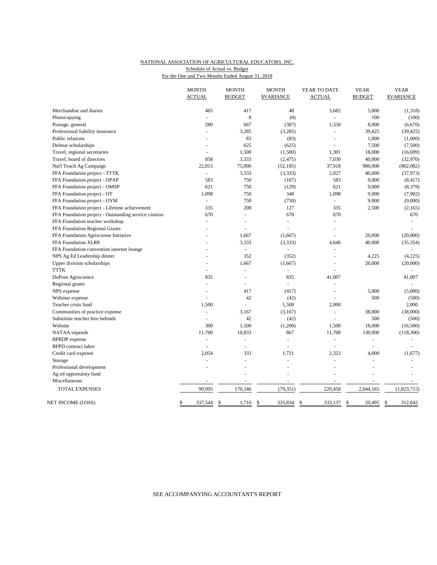#### NATIONAL ASSOCIATION OF AGRICULTURAL EDUCATORS, INC. For the One and Two Months Ended August 31, 2018 Schedule of Actual vs. Budget

|                                                       | <b>MONTH</b><br><b>ACTUAL</b> | <b>MONTH</b><br><b>BUDGET</b> | <b>MONTH</b><br><b><i>SVARIANCE</i></b> | YEAR TO DATE<br><b>ACTUAL</b> | <b>YEAR</b><br><b>BUDGET</b> | <b>YEAR</b><br><b><i>SVARIANCE</i></b> |
|-------------------------------------------------------|-------------------------------|-------------------------------|-----------------------------------------|-------------------------------|------------------------------|----------------------------------------|
| Merchandise and diaries                               | 465                           | 417                           | 48                                      | 3,682                         | 5,000                        | (1,318)                                |
| Photocopying                                          | $\sim$                        | 8                             | (8)                                     |                               | 100                          | (100)                                  |
| Postage, general                                      | 280                           | 667                           | (387)                                   | 1,330                         | 8,000                        | (6,670)                                |
| Professional liability insurance                      | $\blacksquare$                | 3,285                         | (3,285)                                 | $\sim$                        | 39,425                       | (39, 425)                              |
| Public relations                                      |                               | 83                            | (83)                                    | ÷,                            | 1,000                        | (1,000)                                |
| Delmar scholarships                                   | $\sim$                        | 625                           | (625)                                   | $\overline{a}$                | 7,500                        | (7,500)                                |
| Travel, regional secretaries                          | ÷.                            | 1,500                         | (1,500)                                 | 1,301                         | 18,000                       | (16, 699)                              |
| Travel, board of directors                            | 858                           | 3,333                         | (2, 475)                                | 7,030                         | 40,000                       | (32,970)                               |
| Nat'l Teach Ag Campaign                               | 22,815                        | 75,000                        | (52, 185)                               | 37,918                        | 900,000                      | (862, 082)                             |
| FFA Foundation project - TTTK                         | ÷.                            | 3,333                         | (3,333)                                 | 2,027                         | 40,000                       | (37, 973)                              |
| FFA Foundation project - OPAP                         | 583                           | 750                           | (167)                                   | 583                           | 9,000                        | (8, 417)                               |
| FFA Foundation project - OMSP                         | 621                           | 750                           | (129)                                   | 621                           | 9,000                        | (8, 379)                               |
| FFA Foundation project - OT                           | 1,098                         | 750                           | 348                                     | 1,098                         | 9,000                        | (7,902)                                |
| FFA Foundation project - OYM                          | $\overline{\phantom{a}}$      | 750                           | (750)                                   |                               | 9,000                        | (9,000)                                |
| FFA Foundation project - Lifetime achievement         | 335                           | 208                           | 127                                     | 335                           | 2,500                        | (2,165)                                |
| FFA Foundation project - Outstanding service citation | 670                           | ÷,                            | 670                                     | 670                           |                              | 670                                    |
| FFA Foundation teacher workshop                       | ä,                            | L,                            | ÷,                                      | $\overline{\phantom{a}}$      |                              |                                        |
| FFA Foundation Regional Grants                        |                               | L,                            |                                         | $\blacksquare$                |                              |                                        |
| FFA Foundation Agrisciense Initiative                 |                               | 1,667                         | (1,667)                                 | $\overline{a}$                | 20,000                       | (20,000)                               |
| FFA Foundation XLR8                                   |                               | 3,333                         | (3,333)                                 | 4,646                         | 40,000                       | (35, 354)                              |
| FFA Foundation convention internet lounge             |                               | $\omega$                      | ÷                                       | $\sim$                        |                              |                                        |
| NPS Ag Ed Leadership dinner                           |                               | 352                           | (352)                                   |                               | 4,225                        | (4,225)                                |
| Upper division scholarships                           | $\sim$                        | 1,667                         | (1,667)                                 | $\overline{a}$                | 20,000                       | (20,000)                               |
| <b>TTTK</b>                                           |                               |                               |                                         |                               |                              |                                        |
| DuPont Agriscience                                    | 835                           | $\overline{a}$                | 835                                     | 41,007                        |                              | 41,007                                 |
| Regional grants                                       | ÷,                            | L,                            | $\omega$                                | ÷,                            |                              |                                        |
| NPS expense                                           | $\overline{a}$                | 417                           | (417)                                   | $\overline{a}$                | 5,000                        | (5,000)                                |
| Webinar expense                                       | ÷,                            | 42                            | (42)                                    | ÷,                            | 500                          | (500)                                  |
| Teacher crisis fund                                   | 1,500                         |                               | 1,500                                   | 2,000                         |                              | 2,000                                  |
| Communities of practice expense                       | $\blacksquare$                | 3,167                         | (3,167)                                 |                               | 38,000                       | (38,000)                               |
| Substitute teacher hire behinds                       | ÷                             | 42                            | (42)                                    |                               | 500                          | (500)                                  |
| Website                                               | 300                           | 1,500                         | (1,200)                                 | 1,500                         | 18,000                       | (16,500)                               |
| NATAA stipends                                        | 11,700                        | 10,833                        | 867                                     | 11,700                        | 130,000                      | (118,300)                              |
| <b>BFRDP</b> expense                                  | $\blacksquare$                | $\blacksquare$                | $\sim$                                  | $\sim$                        | $\blacksquare$               |                                        |
| <b>BFPD</b> contract labor                            |                               | L,                            |                                         |                               |                              |                                        |
| Credit card expense                                   | 2,054                         | 333                           | 1,721                                   | 2,323                         | 4,000                        | (1,677)                                |
| Storage                                               |                               |                               |                                         |                               | ÷,                           |                                        |
| Professional development                              | ÷,                            |                               |                                         |                               | $\overline{a}$               |                                        |
| Ag ed opportuinty fund                                |                               |                               | ÷,                                      |                               | ÷,                           |                                        |
| Miscellaneous                                         |                               |                               |                                         | ÷,                            |                              |                                        |
| <b>TOTAL EXPENSES</b>                                 | 90,995                        | 170,346                       | (79, 351)                               | 220,450                       | 2,044,165                    | (1,823,715)                            |
| NET INCOME (LOSS)                                     | \$<br>337,544                 | \$<br>1,710                   | <sup>\$</sup><br>335,834                | \$<br>333,137                 | \$<br>20,495                 | 312,642<br><sup>\$</sup>               |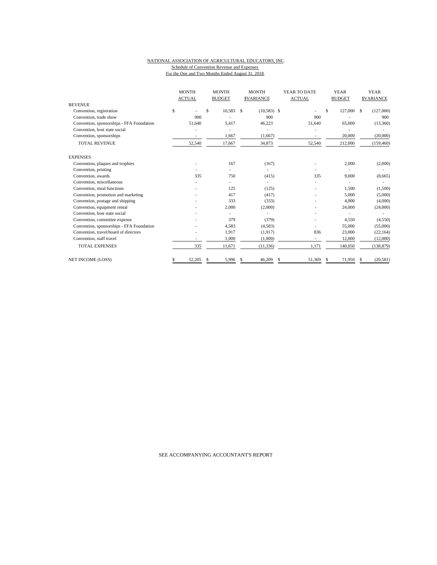#### NATIONAL ASSOCIATION OF AGRICULTURAL EDUCATORS, INC. Schedule of Convention Revenue and Expenses For the One and Two Months Ended August 31, 2018

| <b>REVENUE</b>                            | <b>MONTH</b><br><b>ACTUAL</b> |     | <b>MONTH</b><br><b>BUDGET</b> |    | <b>MONTH</b><br><b>SVARIANCE</b> | YEAR TO DATE<br><b>ACTUAL</b> |    | <b>YEAR</b><br><b>BUDGET</b> |      | <b>YEAR</b><br><b>SVARIANCE</b> |
|-------------------------------------------|-------------------------------|-----|-------------------------------|----|----------------------------------|-------------------------------|----|------------------------------|------|---------------------------------|
| Convention, registration                  | \$                            | \$. | 10,583                        | \$ | $(10,583)$ \$                    |                               | \$ | 127,000                      | - \$ | (127,000)                       |
| Convention, trade show                    | 900                           |     |                               |    | 900                              | 900                           |    |                              |      | 900                             |
| Convention, sponsorships - FFA Foundation | 51.640                        |     | 5,417                         |    | 46,223                           | 51,640                        |    | 65,000                       |      | (13,360)                        |
| Convention, host state social             |                               |     |                               |    |                                  |                               |    |                              |      |                                 |
|                                           |                               |     |                               |    |                                  |                               |    |                              |      |                                 |
| Convention, sponsorships                  | $\overline{\phantom{a}}$      |     | 1,667                         |    | (1,667)                          | ٠                             |    | 20,000                       |      | (20,000)                        |
| <b>TOTAL REVENUE</b>                      | 52,540                        |     | 17,667                        |    | 34,873                           | 52,540                        |    | 212,000                      |      | (159, 460)                      |
| <b>EXPENSES</b>                           |                               |     |                               |    |                                  |                               |    |                              |      |                                 |
| Convention, plaques and trophies          |                               |     | 167                           |    | (167)                            |                               |    | 2,000                        |      | (2,000)                         |
| Convention, printing                      |                               |     |                               |    |                                  |                               |    |                              |      |                                 |
| Convention, awards                        | 335                           |     | 750                           |    | (415)                            | 335                           |    | 9,000                        |      | (8,665)                         |
| Convention, miscellaneous                 |                               |     |                               |    |                                  |                               |    |                              |      |                                 |
| Convention, meal functions                |                               |     | 125                           |    | (125)                            |                               |    | 1,500                        |      | (1,500)                         |
| Convention, promotion and marketing       |                               |     | 417                           |    | (417)                            |                               |    | 5,000                        |      | (5,000)                         |
| Convention, postage and shipping          |                               |     | 333                           |    | (333)                            |                               |    | 4,000                        |      | (4,000)                         |
| Convention, equipment rental              |                               |     | 2,000                         |    | (2,000)                          |                               |    | 24,000                       |      | (24,000)                        |
| Convention, host state social             |                               |     |                               |    |                                  |                               |    |                              |      |                                 |
| Convention, committee expense             |                               |     | 379                           |    | (379)                            |                               |    | 4,550                        |      | (4,550)                         |
| Convention, sponsorships - FFA Foundation |                               |     | 4,583                         |    | (4,583)                          |                               |    | 55,000                       |      | (55,000)                        |
| Convention, travel/board of directors     |                               |     | 1,917                         |    | (1,917)                          | 836                           |    | 23,000                       |      | (22, 164)                       |
| Convention, staff travel                  |                               |     | 1,000                         |    | (1,000)                          | ٠                             |    | 12,000                       |      | (12,000)                        |
| <b>TOTAL EXPENSES</b>                     | 335                           |     | 11,671                        |    | (11, 336)                        | 1,171                         |    | 140,050                      |      | (138, 879)                      |
| <b>NET INCOME (LOSS)</b>                  | 52,205                        | S   | 5,996                         | S. | 46,209                           | \$<br>51,369                  | S  | 71,950                       |      | (20, 581)                       |